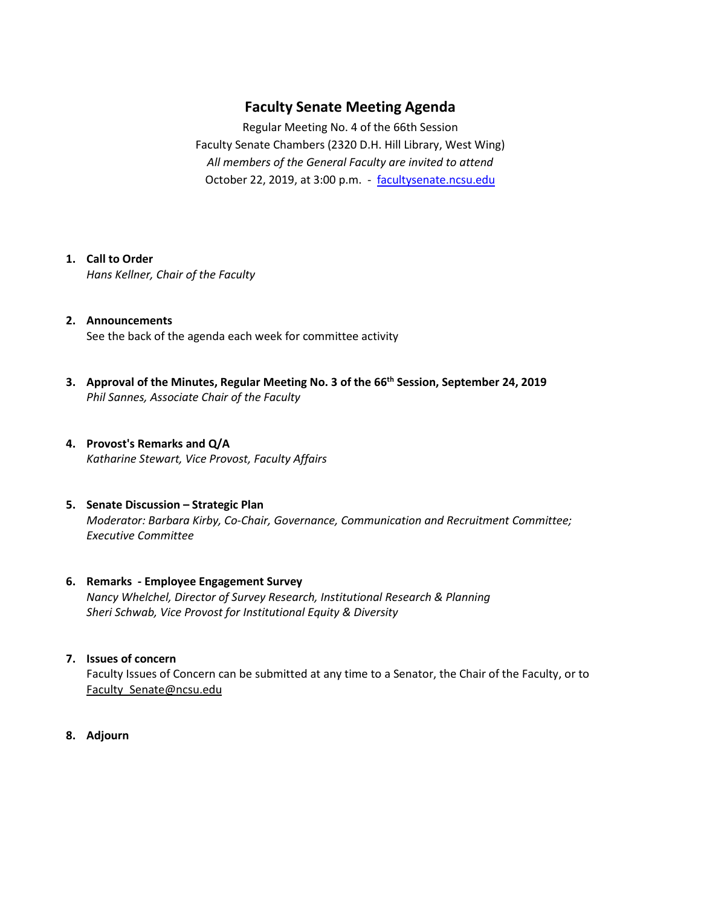# **Faculty Senate Meeting Agenda**

Regular Meeting No. 4 of the 66th Session Faculty Senate Chambers (2320 D.H. Hill Library, West Wing) *All members of the General Faculty are invited to attend* October 22, 2019, at 3:00 p.m. - [facultysenate.ncsu.edu](https://facultysenate.ncsu.edu/)

#### **1. Call to Order**

*Hans Kellner, Chair of the Faculty*

- **2. Announcements** See the back of the agenda each week for committee activity
- **3. Approval of the Minutes, Regular Meeting No. 3 of the 66th Session, September 24, 2019** *Phil Sannes, Associate Chair of the Faculty*

## **4. Provost's Remarks and Q/A** *Katharine Stewart, Vice Provost, Faculty Affairs*

**5. Senate Discussion – Strategic Plan** *Moderator: Barbara Kirby, Co-Chair, Governance, Communication and Recruitment Committee; Executive Committee*

#### **6. Remarks - Employee Engagement Survey** *Nancy Whelchel, Director of Survey Research, Institutional Research & Planning Sheri Schwab, Vice Provost for Institutional Equity & Diversity*

#### **7. Issues of concern**

Faculty Issues of Concern can be submitted at any time to a Senator, the Chair of the Faculty, or to [Faculty\\_Senate@ncsu.edu](mailto:Faculty_Senate@ncsu.edu)

**8. Adjourn**